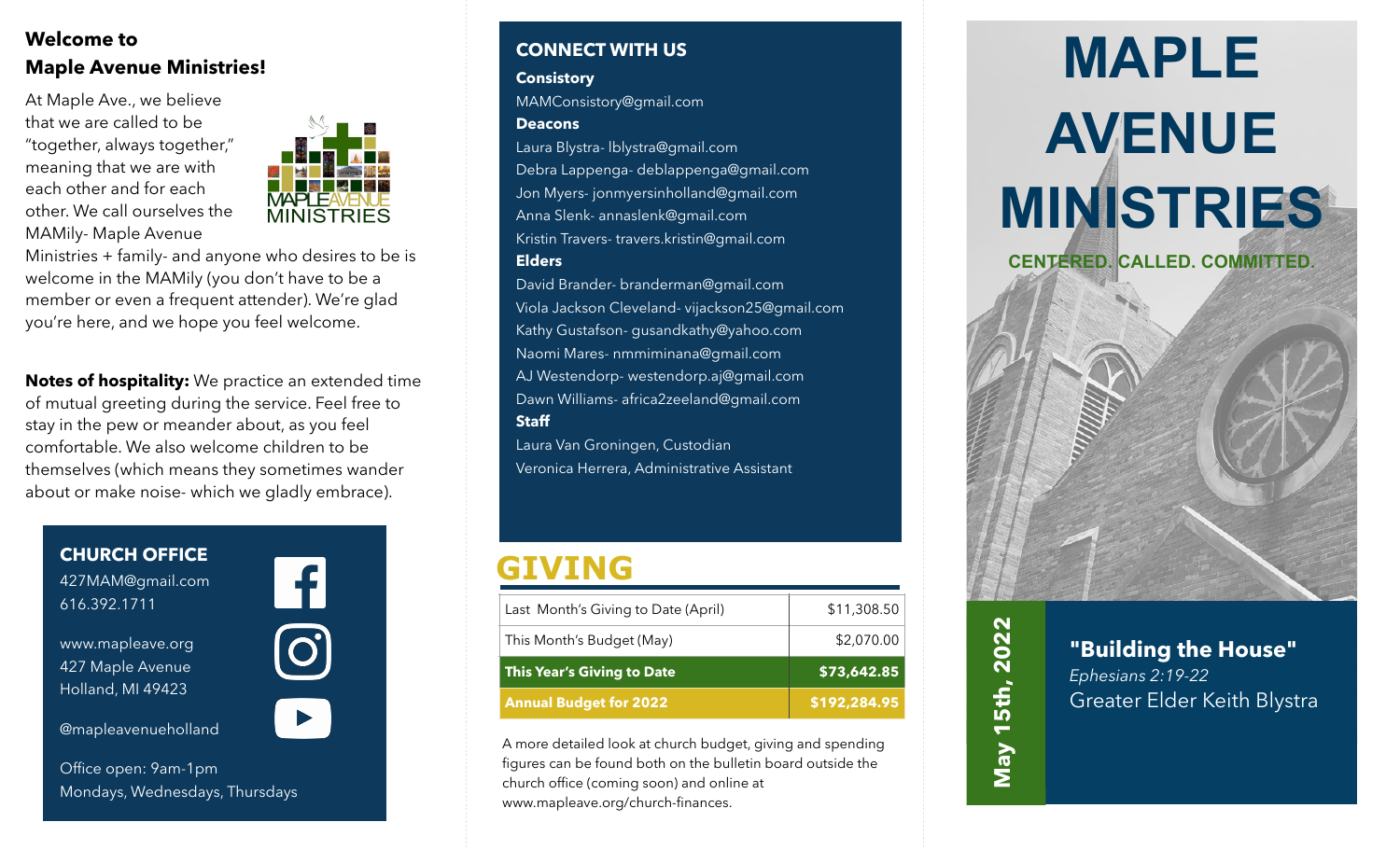### **Welcome to Maple Avenue Ministries!**

At Maple Ave., we believe that we are called to be "together, always together," meaning that we are with each other and for each other. We call ourselves the MAMily- Maple Avenue



Ministries + family- and anyone who desires to be is welcome in the MAMily (you don't have to be a member or even a frequent attender). We're glad you're here, and we hope you feel welcome.

**Notes of hospitality:** We practice an extended time of mutual greeting during the service. Feel free to stay in the pew or meander about, as you feel comfortable. We also welcome children to be themselves (which means they sometimes wander about or make noise- which we gladly embrace).

**CHURCH OFFICE** 427MAM@gmail.com 616.392.1711



www.mapleave.org 427 Maple Avenue Holland, MI 49423

@mapleavenueholland

 $\mathbf{O}$ 

Office open: 9am-1pm Mondays, Wednesdays, Thursdays

#### **CONNECT WITH US**

#### **Consistory**

MAMConsistory@gmail.com

#### **Deacons**

Laura Blystra- lblystra@gmail.com Debra Lappenga- deblappenga@gmail.com Jon Myers- jonmyersinholland@gmail.com Anna Slenk- annaslenk@gmail.com Kristin Travers- travers.kristin@gmail.com **Elders**

David Brander- branderman@gmail.com Viola Jackson Cleveland- vijackson25@gmail.com Kathy Gustafson- gusandkathy@yahoo.com Naomi Mares- nmmiminana@gmail.com AJ Westendorp- westendorp.aj@gmail.com Dawn Williams- africa2zeeland@gmail.com **Staff**

Laura Van Groningen, Custodian Veronica Herrera, Administrative Assistant

### **GIVING**

| This Month's Budget (May)     | \$2,070.00   |
|-------------------------------|--------------|
| This Year's Giving to Date    | \$73,642.85  |
| <b>Annual Budget for 2022</b> | \$192,284.95 |

A more detailed look at church budget, giving and spending figures can be found both on the bulletin board outside the church office (coming soon) and online at www.mapleave.org/church-finances.

# **MAPLE AVENUE MINISTRIES CENTERED. CALLED. COMMITTED.**



**"Building the House"**

Greater Elder Keith Blystra

*Ephesians 2:19-22*